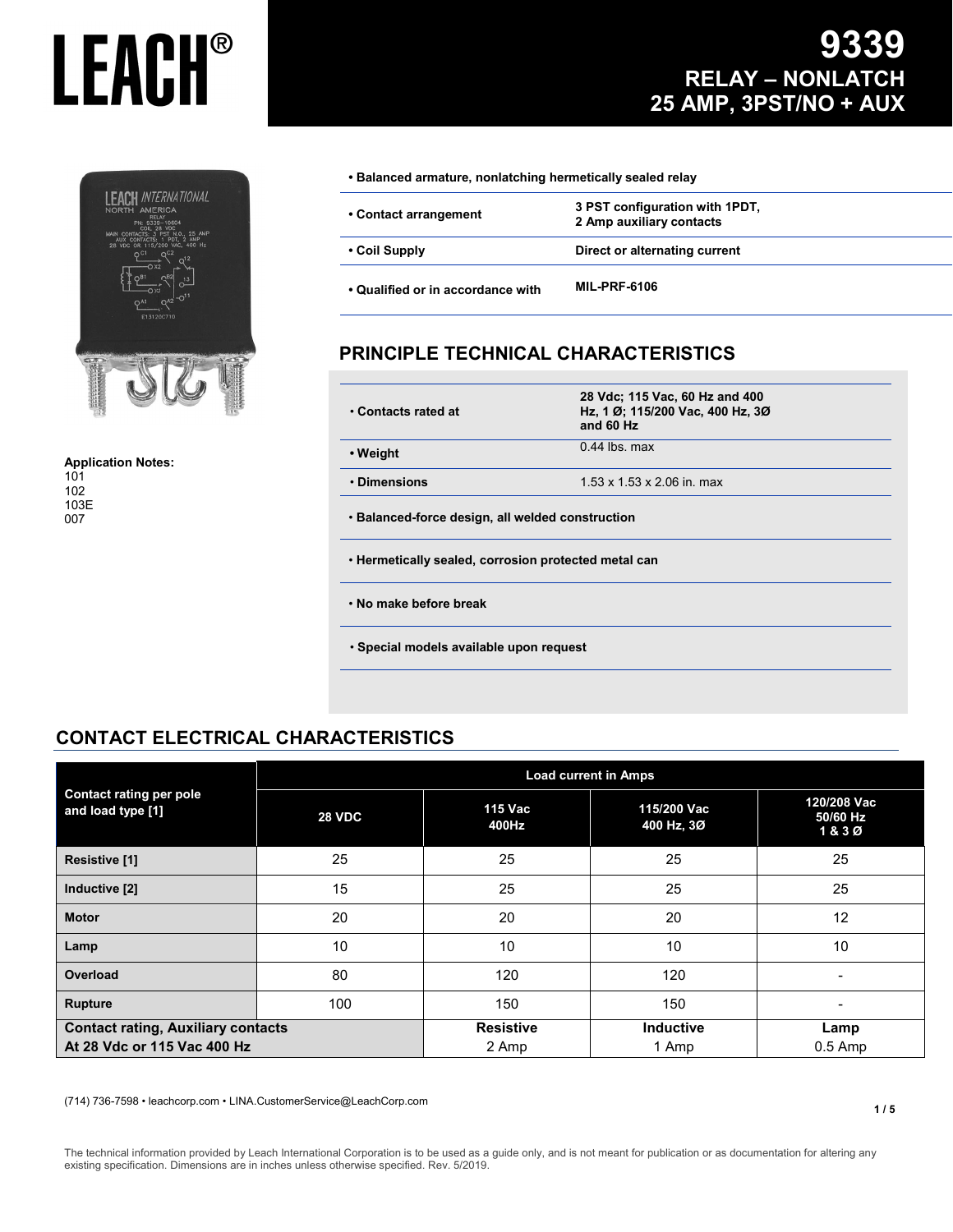

**Application Notes:** 101 102 103E 007

### **9339 RELAY – NONLATCH 25 AMP, 3PST/NO + AUX**

| • Coil Supply         | Direct or alternating current                              |  |
|-----------------------|------------------------------------------------------------|--|
| • Contact arrangement | 3 PST configuration with 1PDT,<br>2 Amp auxiliary contacts |  |

#### **PRINCIPLE TECHNICAL CHARACTERISTICS**

| • Contacts rated at                                  | 28 Vdc; 115 Vac, 60 Hz and 400<br>Hz, 1 Ø; 115/200 Vac, 400 Hz, 3Ø<br>and 60 Hz |  |  |
|------------------------------------------------------|---------------------------------------------------------------------------------|--|--|
| • Weight                                             | $0.44$ lbs. max                                                                 |  |  |
| • Dimensions                                         | 1.53 x 1.53 x 2.06 in. max                                                      |  |  |
| • Balanced-force design, all welded construction     |                                                                                 |  |  |
| . Hermetically sealed, corrosion protected metal can |                                                                                 |  |  |
| . No make before break                               |                                                                                 |  |  |
| · Special models available upon request              |                                                                                 |  |  |

#### **CONTACT ELECTRICAL CHARACTERISTICS**

|                                                                          | <b>Load current in Amps</b> |                           |                           |                                 |  |  |
|--------------------------------------------------------------------------|-----------------------------|---------------------------|---------------------------|---------------------------------|--|--|
| <b>Contact rating per pole</b><br>and load type [1]                      | <b>28 VDC</b>               | 115 Vac<br>400Hz          | 115/200 Vac<br>400 Hz, 3Ø | 120/208 Vac<br>50/60 Hz<br>1&3Ø |  |  |
| Resistive [1]                                                            | 25                          | 25                        | 25                        | 25                              |  |  |
| Inductive [2]                                                            | 15                          | 25                        | 25                        | 25                              |  |  |
| <b>Motor</b>                                                             | 20                          | 20                        | 20                        | 12                              |  |  |
| Lamp                                                                     | 10                          | 10                        | 10                        | 10                              |  |  |
| Overload                                                                 | 80                          | 120                       | 120                       | $\overline{\phantom{0}}$        |  |  |
| <b>Rupture</b>                                                           | 100                         | 150                       | 150                       |                                 |  |  |
| <b>Contact rating, Auxiliary contacts</b><br>At 28 Vdc or 115 Vac 400 Hz |                             | <b>Resistive</b><br>2 Amp | <b>Inductive</b><br>1 Amp | Lamp<br>$0.5$ Amp               |  |  |

(714) 736-7598 • leachcorp.com • LINA.CustomerService@LeachCorp.com

The technical information provided by Leach International Corporation is to be used as a guide only, and is not meant for publication or as documentation for altering any existing specification. Dimensions are in inches unless otherwise specified. Rev. 5/2019.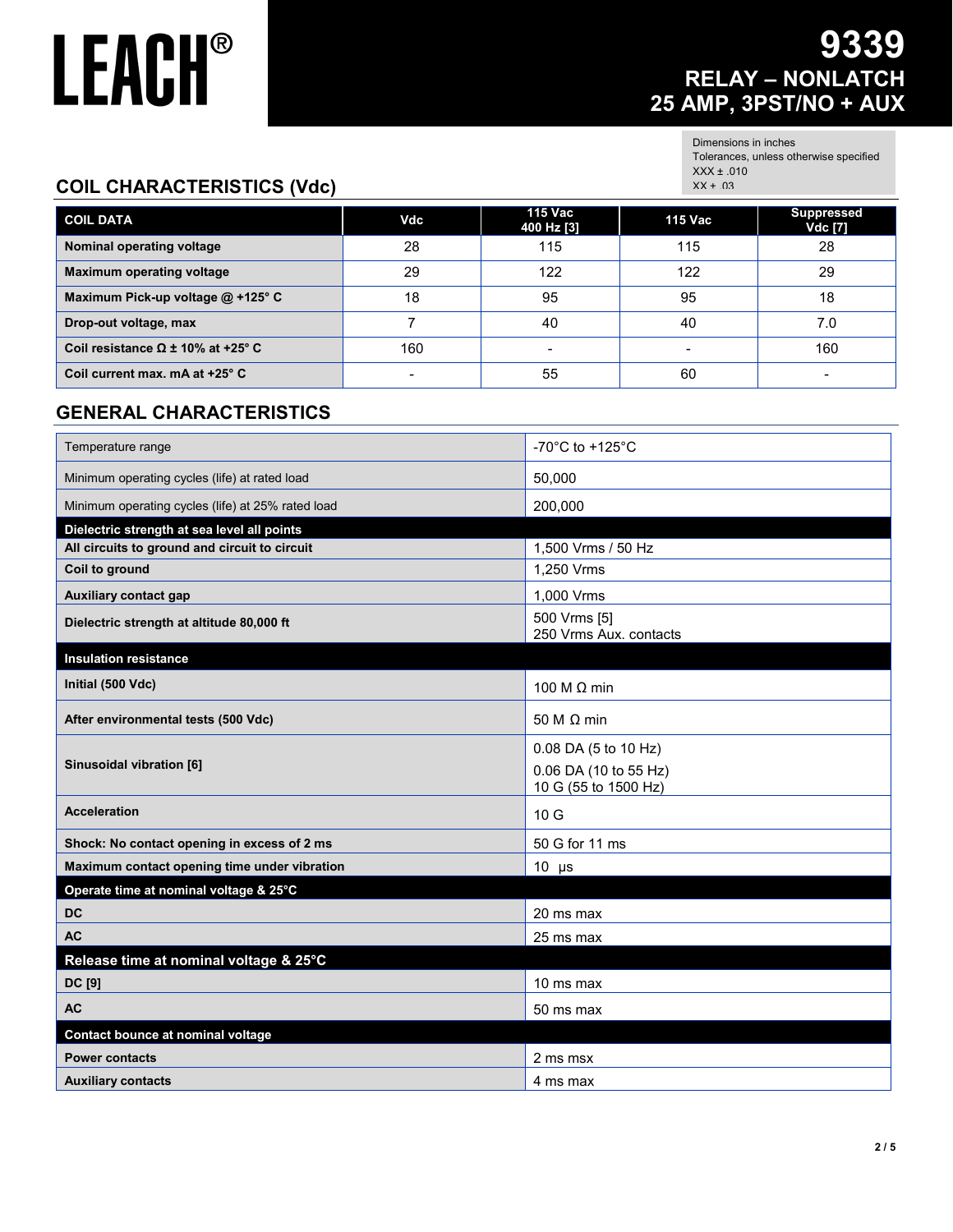### **9339 RELAY – NONLATCH 25 AMP, 3PST/NO + AUX**

Dimensions in inches Tolerances, unless otherwise specified XXX ± .010 XX ± .03

#### **COIL CHARACTERISTICS (Vdc)**

| <b>COIL DATA</b>                            | Vdc | 115 Vac<br>400 Hz [3] | 115 Vac | <b>Suppressed</b><br>Vdc [7] |
|---------------------------------------------|-----|-----------------------|---------|------------------------------|
| Nominal operating voltage                   | 28  | 115                   | 115     | 28                           |
| <b>Maximum operating voltage</b>            | 29  | 122                   | 122     | 29                           |
| Maximum Pick-up voltage $@$ +125° C         | 18  | 95                    | 95      | 18                           |
| Drop-out voltage, max                       |     | 40                    | 40      | 7.0                          |
| Coil resistance $\Omega \pm 10\%$ at +25° C | 160 |                       |         | 160                          |
| Coil current max. mA at +25° C              |     | 55                    | 60      | $\overline{\phantom{0}}$     |

#### **GENERAL CHARACTERISTICS**

| Temperature range                                 | -70 $^{\circ}$ C to +125 $^{\circ}$ C         |
|---------------------------------------------------|-----------------------------------------------|
| Minimum operating cycles (life) at rated load     | 50,000                                        |
| Minimum operating cycles (life) at 25% rated load | 200,000                                       |
| Dielectric strength at sea level all points       |                                               |
| All circuits to ground and circuit to circuit     | 1,500 Vrms / 50 Hz                            |
| Coil to ground                                    | 1,250 Vrms                                    |
| <b>Auxiliary contact gap</b>                      | 1,000 Vrms                                    |
| Dielectric strength at altitude 80,000 ft         | 500 Vrms [5]<br>250 Vrms Aux. contacts        |
| <b>Insulation resistance</b>                      |                                               |
| Initial (500 Vdc)                                 | 100 M $\Omega$ min                            |
| After environmental tests (500 Vdc)               | 50 M $\Omega$ min                             |
|                                                   | 0.08 DA (5 to 10 Hz)                          |
| Sinusoidal vibration [6]                          | 0.06 DA (10 to 55 Hz)<br>10 G (55 to 1500 Hz) |
| <b>Acceleration</b>                               | 10G                                           |
| Shock: No contact opening in excess of 2 ms       | 50 G for 11 ms                                |
| Maximum contact opening time under vibration      | $10 \mu s$                                    |
| Operate time at nominal voltage & 25°C            |                                               |
| <b>DC</b>                                         | 20 ms max                                     |
| <b>AC</b>                                         | 25 ms max                                     |
| Release time at nominal voltage & 25°C            |                                               |
| DC [9]                                            | 10 ms max                                     |
| <b>AC</b>                                         | 50 ms max                                     |
| Contact bounce at nominal voltage                 |                                               |
| <b>Power contacts</b>                             | 2 ms msx                                      |
| <b>Auxiliary contacts</b>                         | 4 ms max                                      |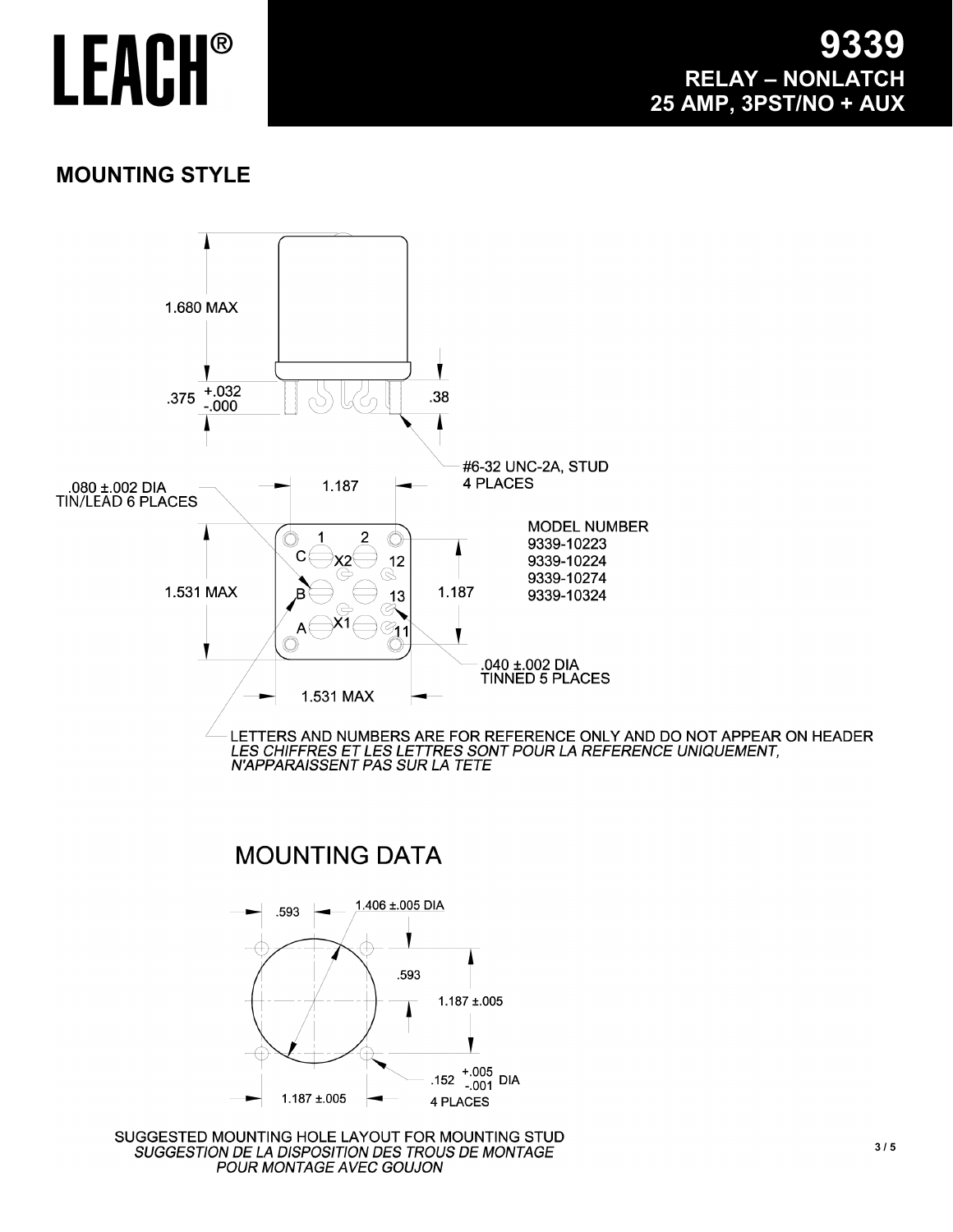#### **MOUNTING STYLE**

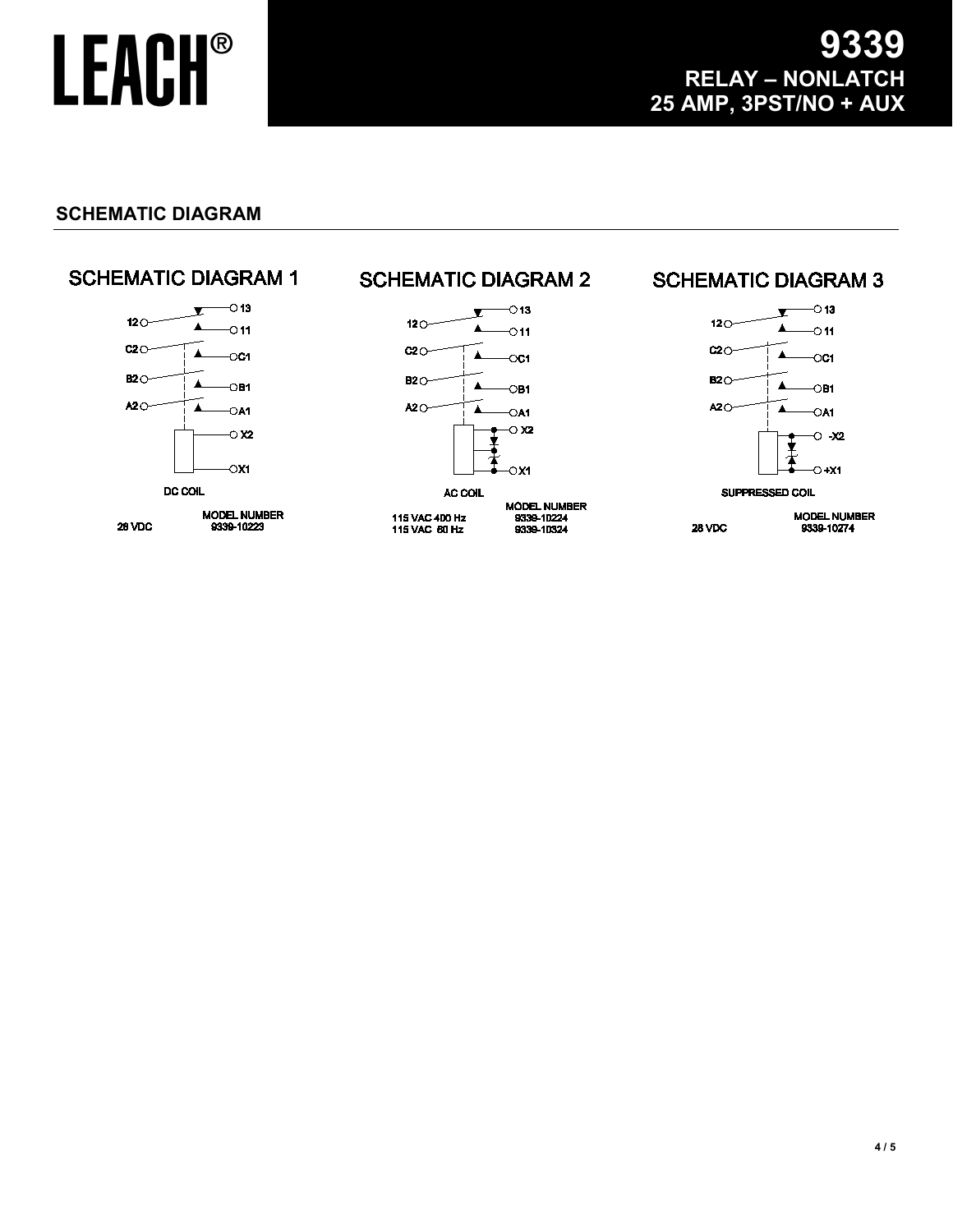#### **SCHEMATIC DIAGRAM**